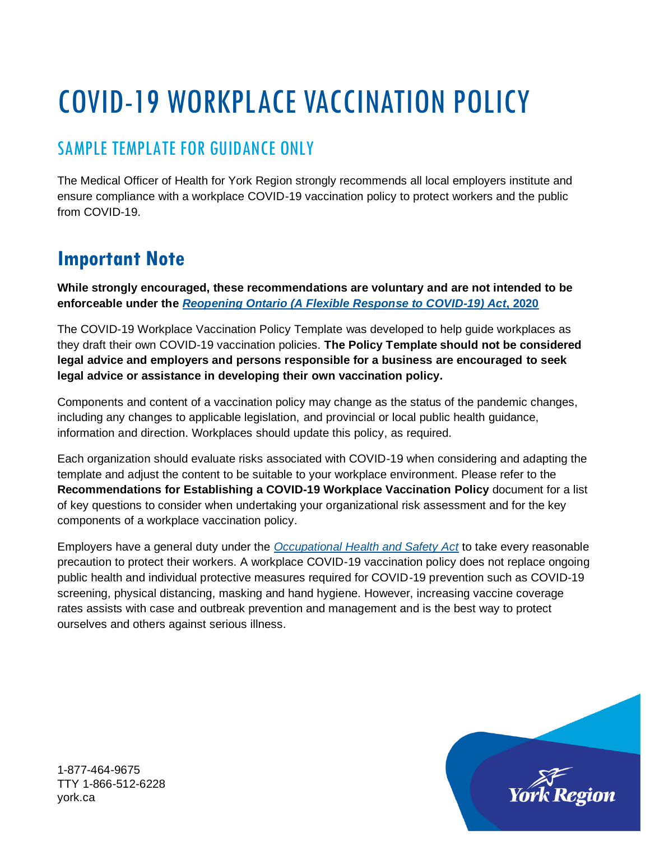# COVID-19 WORKPLACE VACCINATION POLICY

# SAMPLE TEMPLATE FOR GUIDANCE ONLY

The Medical Officer of Health for York Region strongly recommends all local employers institute and ensure compliance with a workplace COVID-19 vaccination policy to protect workers and the public from COVID-19.

# **Important Note**

**While strongly encouraged, these recommendations are voluntary and are not intended to be enforceable under the** *[Reopening Ontario \(A Flexible Response to COVID-19\) Act](https://www.ontario.ca/laws/statute/20r17)***, 2020**

The COVID-19 Workplace Vaccination Policy Template was developed to help guide workplaces as they draft their own COVID-19 vaccination policies. **The Policy Template should not be considered legal advice and employers and persons responsible for a business are encouraged to seek legal advice or assistance in developing their own vaccination policy.**

Components and content of a vaccination policy may change as the status of the pandemic changes, including any changes to applicable legislation, and provincial or local public health guidance, information and direction. Workplaces should update this policy, as required.

Each organization should evaluate risks associated with COVID-19 when considering and adapting the template and adjust the content to be suitable to your workplace environment. Please refer to the **Recommendations for Establishing a COVID-19 Workplace Vaccination Policy** document for a list of key questions to consider when undertaking your organizational risk assessment and for the key components of a workplace vaccination policy.

Employers have a general duty under the *[Occupational Health and Safety Act](https://www.ontario.ca/laws/statute/90o01)* to take every reasonable precaution to protect their workers. A workplace COVID-19 vaccination policy does not replace ongoing public health and individual protective measures required for COVID-19 prevention such as COVID-19 screening, physical distancing, masking and hand hygiene. However, increasing vaccine coverage rates assists with case and outbreak prevention and management and is the best way to protect ourselves and others against serious illness.

1-877-464-9675 TTY 1-866-512-6228 york.ca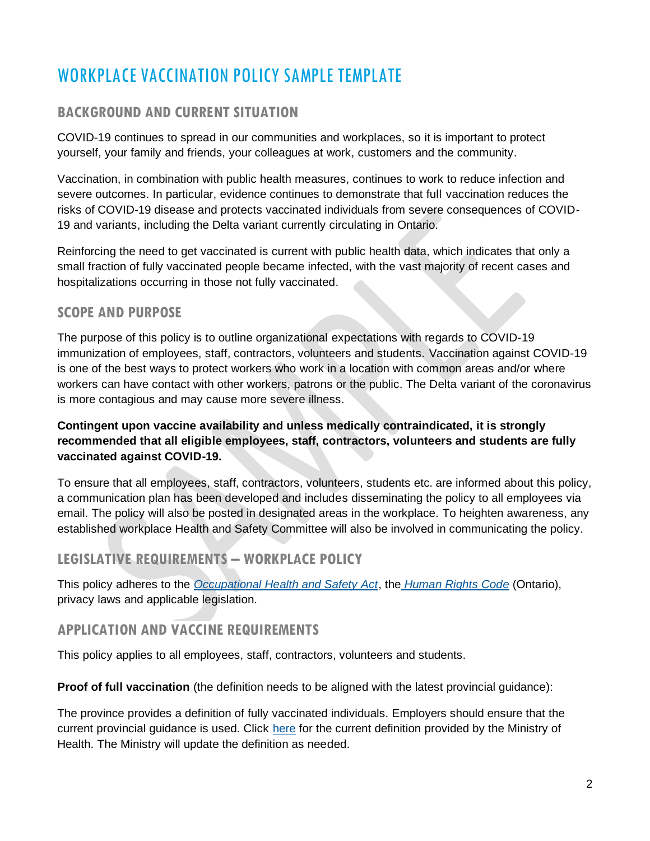# WORKPLACE VACCINATION POLICY SAMPLE TEMPLATE

# **BACKGROUND AND CURRENT SITUATION**

COVID-19 continues to spread in our communities and workplaces, so it is important to protect yourself, your family and friends, your colleagues at work, customers and the community.

Vaccination, in combination with public health measures, continues to work to reduce infection and severe outcomes. In particular, evidence continues to demonstrate that full vaccination reduces the risks of COVID-19 disease and protects vaccinated individuals from severe consequences of COVID-19 and variants, including the Delta variant currently circulating in Ontario.

Reinforcing the need to get vaccinated is current with public health data, which indicates that only a small fraction of fully vaccinated people became infected, with the vast majority of recent cases and hospitalizations occurring in those not fully vaccinated.

#### **SCOPE AND PURPOSE**

The purpose of this policy is to outline organizational expectations with regards to COVID-19 immunization of employees, staff, contractors, volunteers and students. Vaccination against COVID-19 is one of the best ways to protect workers who work in a location with common areas and/or where workers can have contact with other workers, patrons or the public. The Delta variant of the coronavirus is more contagious and may cause more severe illness.

#### **Contingent upon vaccine availability and unless medically contraindicated, it is strongly recommended that all eligible employees, staff, contractors, volunteers and students are fully vaccinated against COVID-19.**

To ensure that all employees, staff, contractors, volunteers, students etc. are informed about this policy, a communication plan has been developed and includes disseminating the policy to all employees via email. The policy will also be posted in designated areas in the workplace. To heighten awareness, any established workplace Health and Safety Committee will also be involved in communicating the policy.

# **LEGISLATIVE REQUIREMENTS – WORKPLACE POLICY**

This policy adheres to the *[Occupational Health and Safety Act](https://www.ontario.ca/laws/statute/90o01)*, the *[Human Rights Code](https://www.ontario.ca/laws/statute/90h19)* (Ontario), privacy laws and applicable legislation.

## **APPLICATION AND VACCINE REQUIREMENTS**

This policy applies to all employees, staff, contractors, volunteers and students.

**Proof of full vaccination** (the definition needs to be aligned with the latest provincial guidance):

The province provides a definition of fully vaccinated individuals. Employers should ensure that the current provincial guidance is used. Click [here](https://www.health.gov.on.ca/en/pro/programs/publichealth/coronavirus/docs/vaccine/COVID-19_fully_vaccinated_status_ontario.pdf) for the current definition provided by the Ministry of Health. The Ministry will update the definition as needed.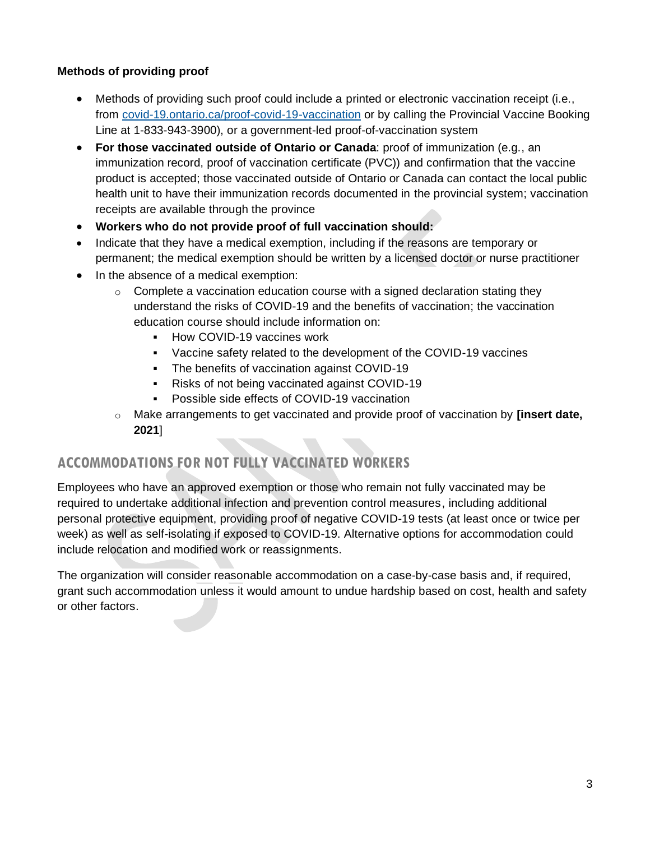#### **Methods of providing proof**

- Methods of providing such proof could include a printed or electronic vaccination receipt (i.e., from [covid-19.ontario.ca/proof-covid-19-vaccination](https://covid-19.ontario.ca/proof-covid-19-vaccination) or by calling the Provincial Vaccine Booking Line at 1-833-943-3900), or a government-led proof-of-vaccination system
- **For those vaccinated outside of Ontario or Canada**: proof of immunization (e.g., an immunization record, proof of vaccination certificate (PVC)) and confirmation that the vaccine product is accepted; those vaccinated outside of Ontario or Canada can contact the local public health unit to have their immunization records documented in the provincial system; vaccination receipts are available through the province
- **Workers who do not provide proof of full vaccination should:**
- Indicate that they have a medical exemption, including if the reasons are temporary or permanent; the medical exemption should be written by a licensed doctor or nurse practitioner
- In the absence of a medical exemption:
	- $\circ$  Complete a vaccination education course with a signed declaration stating they understand the risks of COVID-19 and the benefits of vaccination; the vaccination education course should include information on:
		- How COVID-19 vaccines work
		- Vaccine safety related to the development of the COVID-19 vaccines
		- The benefits of vaccination against COVID-19
		- Risks of not being vaccinated against COVID-19
		- Possible side effects of COVID-19 vaccination
	- o Make arrangements to get vaccinated and provide proof of vaccination by **[insert date, 2021**]

# **ACCOMMODATIONS FOR NOT FULLY VACCINATED WORKERS**

Employees who have an approved exemption or those who remain not fully vaccinated may be required to undertake additional infection and prevention control measures, including additional personal protective equipment, providing proof of negative COVID-19 tests (at least once or twice per week) as well as self-isolating if exposed to COVID-19. Alternative options for accommodation could include relocation and modified work or reassignments.

The organization will consider reasonable accommodation on a case-by-case basis and, if required, grant such accommodation unless it would amount to undue hardship based on cost, health and safety or other factors.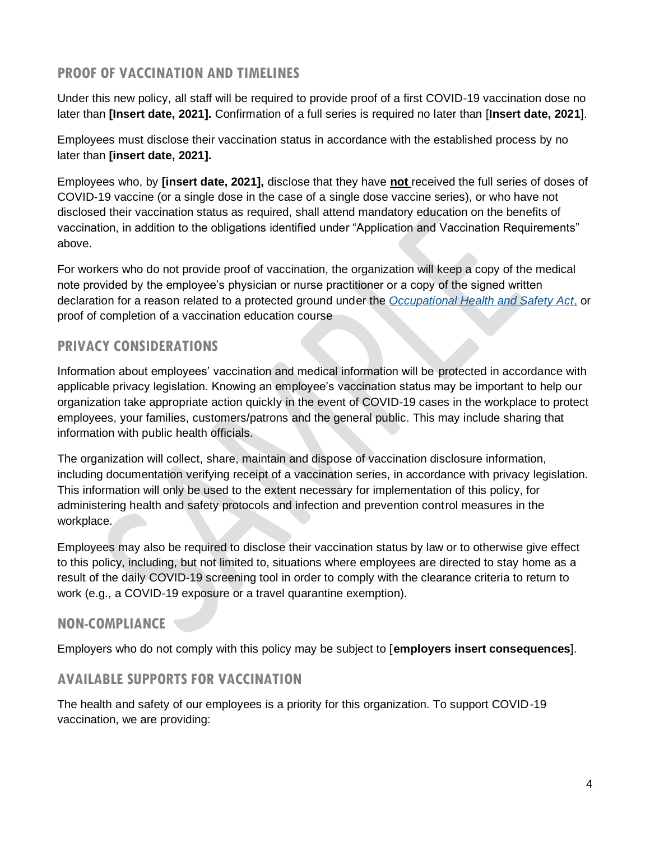#### **PROOF OF VACCINATION AND TIMELINES**

Under this new policy, all staff will be required to provide proof of a first COVID-19 vaccination dose no later than **[Insert date, 2021].** Confirmation of a full series is required no later than [**Insert date, 2021**].

Employees must disclose their vaccination status in accordance with the established process by no later than **[insert date, 2021].**

Employees who, by **[insert date, 2021],** disclose that they have **not** received the full series of doses of COVID-19 vaccine (or a single dose in the case of a single dose vaccine series), or who have not disclosed their vaccination status as required, shall attend mandatory education on the benefits of vaccination, in addition to the obligations identified under "Application and Vaccination Requirements" above.

For workers who do not provide proof of vaccination, the organization will keep a copy of the medical note provided by the employee's physician or nurse practitioner or a copy of the signed written declaration for a reason related to a protected ground under the *[Occupational Health and Safety Act](https://www.ontario.ca/laws/statute/90o01)*, or proof of completion of a vaccination education course

# **PRIVACY CONSIDERATIONS**

Information about employees' vaccination and medical information will be protected in accordance with applicable privacy legislation. Knowing an employee's vaccination status may be important to help our organization take appropriate action quickly in the event of COVID-19 cases in the workplace to protect employees, your families, customers/patrons and the general public. This may include sharing that information with public health officials.

The organization will collect, share, maintain and dispose of vaccination disclosure information, including documentation verifying receipt of a vaccination series, in accordance with privacy legislation. This information will only be used to the extent necessary for implementation of this policy, for administering health and safety protocols and infection and prevention control measures in the workplace.

Employees may also be required to disclose their vaccination status by law or to otherwise give effect to this policy, including, but not limited to, situations where employees are directed to stay home as a result of the daily COVID-19 screening tool in order to comply with the clearance criteria to return to work (e.g., a COVID-19 exposure or a travel quarantine exemption).

## **NON-COMPLIANCE**

Employers who do not comply with this policy may be subject to [**employers insert consequences**].

#### **AVAILABLE SUPPORTS FOR VACCINATION**

The health and safety of our employees is a priority for this organization. To support COVID-19 vaccination, we are providing: